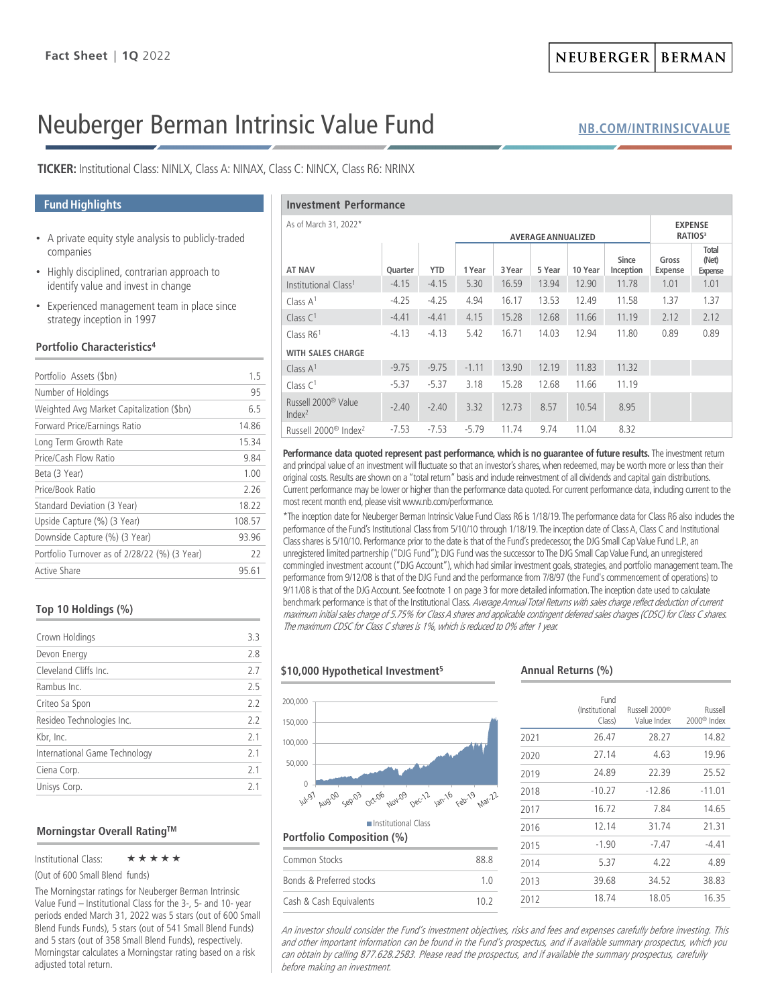# Neuberger Berman Intrinsic Value Fund

**[NB.COM/INTRINSICVALUE](http://www.nb.com/Pages/Public/en-us/Products/intrinsic-value-fund.aspx)**

**TICKER:** Institutional Class: NINLX, Class A: NINAX, Class C: NINCX, Class R6: NRINX

### **Fund Highlights**

- A private equity style analysis to publicly-traded companies
- Highly disciplined, contrarian approach to identify value and invest in change
- Experienced management team in place since strategy inception in 1997

### **Portfolio Characteristics4**

| Portfolio Assets (\$bn)                       | 15     |
|-----------------------------------------------|--------|
| Number of Holdings                            | 95     |
| Weighted Avg Market Capitalization (\$bn)     | 65     |
| Forward Price/Earnings Ratio                  | 14.86  |
| Long Term Growth Rate                         | 15.34  |
| Price/Cash Flow Ratio                         | 9.84   |
| Beta (3 Year)                                 | 1.00   |
| Price/Book Ratio                              | 226    |
| Standard Deviation (3 Year)                   | 18.22  |
| Upside Capture (%) (3 Year)                   | 108.57 |
| Downside Capture (%) (3 Year)                 | 93.96  |
| Portfolio Turnover as of 2/28/22 (%) (3 Year) | 22     |
| Active Share                                  | 95.61  |

### **Top 10 Holdings (%)**

|                               |     | The ma                          |  |
|-------------------------------|-----|---------------------------------|--|
| Crown Holdings                | 3.3 |                                 |  |
| Devon Energy                  | 2.8 |                                 |  |
| Cleveland Cliffs Inc.         | 2.7 | \$10,0                          |  |
| Rambus Inc.                   | 2.5 |                                 |  |
| Criteo Sa Spon                | 2.2 | 200,000                         |  |
| Resideo Technologies Inc.     | 2.2 | 150,000                         |  |
| Kbr, Inc.                     | 2.1 | 100,000<br>2.1<br>50,000<br>2.1 |  |
| International Game Technology |     |                                 |  |
| Ciena Corp.                   |     |                                 |  |
| Unisys Corp.                  | 2.1 | 0                               |  |
|                               |     | $\mathcal{L}$                   |  |

### **Morningstar Overall RatingTM**

Institutional Class: ★★★★★

(Out of 600 Small Blend funds)

The Morningstar ratings for Neuberger Berman Intrinsic Value Fund – Institutional Class for the 3-, 5- and 10- year periods ended March 31, 2022 was 5 stars (out of 600 Small Blend Funds Funds), 5 stars (out of 541 Small Blend Funds) and 5 stars (out of 358 Small Blend Funds), respectively. Morningstar calculates a Morningstar rating based on a risk adjusted total return.

| <b>Investment Performance</b>                         |         |            |         |        |        |                                       |                           |                         |                                         |
|-------------------------------------------------------|---------|------------|---------|--------|--------|---------------------------------------|---------------------------|-------------------------|-----------------------------------------|
| As of March 31, 2022*<br><b>AVERAGE ANNUALIZED</b>    |         |            |         |        |        | <b>EXPENSE</b><br>RATIOS <sup>3</sup> |                           |                         |                                         |
| <b>AT NAV</b>                                         | Quarter | <b>YTD</b> | 1 Year  | 3 Year | 5 Year | 10 Year                               | <b>Since</b><br>Inception | Gross<br><b>Expense</b> | <b>Total</b><br>(Net)<br><b>Expense</b> |
| Institutional Class <sup>1</sup>                      | $-4.15$ | $-4.15$    | 5.30    | 16.59  | 13.94  | 12.90                                 | 11.78                     | 1.01                    | 1.01                                    |
| Class $A1$                                            | $-4.25$ | $-4.25$    | 4.94    | 16.17  | 13.53  | 12.49                                 | 11.58                     | 1.37                    | 1.37                                    |
| Class $C1$                                            | $-4.41$ | $-4.41$    | 4.15    | 15.28  | 12.68  | 11.66                                 | 11.19                     | 2.12                    | 2.12                                    |
| Class $R61$                                           | $-4.13$ | $-4.13$    | 5.42    | 16.71  | 14.03  | 12.94                                 | 11.80                     | 0.89                    | 0.89                                    |
| <b>WITH SALES CHARGE</b>                              |         |            |         |        |        |                                       |                           |                         |                                         |
| Class $A1$                                            | $-9.75$ | $-9.75$    | $-1.11$ | 13.90  | 12.19  | 11.83                                 | 11.32                     |                         |                                         |
| Class $C1$                                            | $-5.37$ | $-5.37$    | 3.18    | 15.28  | 12.68  | 11.66                                 | 11.19                     |                         |                                         |
| Russell 2000 <sup>®</sup> Value<br>Index <sup>2</sup> | $-2.40$ | $-2.40$    | 3.32    | 12.73  | 8.57   | 10.54                                 | 8.95                      |                         |                                         |
| Russell 2000 <sup>®</sup> Index <sup>2</sup>          | $-7.53$ | $-7.53$    | $-5.79$ | 11.74  | 9.74   | 11.04                                 | 8.32                      |                         |                                         |

Performance data quoted represent past performance, which is no guarantee of future results. The investment return and principal value of an investment will fluctuate so that an investor's shares, when redeemed, may be worth more or less than their original costs. Results are shown on a "total return" basis and include reinvestment of all dividends and capital gain distributions. Current performance may be lower or higher than the performance data quoted. For current performance data, including current to the most recent month end, please visit www.nb.com/performance.

\*The inception date for Neuberger Berman Intrinsic Value Fund Class R6 is 1/18/19. The performance data for Class R6 also includes the performance of the Fund's Institutional Class from 5/10/10 through 1/18/19. The inception date of Class A, Class C and Institutional Class shares is 5/10/10. Performance prior to the date is that of the Fund's predecessor, the DJG Small Cap Value Fund L.P., an unregistered limited partnership ("DJG Fund"); DJG Fund was the successor to The DJG Small Cap Value Fund, an unregistered commingled investment account ("DJG Account"), which had similar investment goals, strategies, and portfolio management team.The performance from 9/12/08 is that of the DJG Fund and the performance from 7/8/97 (the Fund's commencement of operations) to 9/11/08 is that of the DJG Account. See footnote 1 on page 3 for more detailed information. The inception date used to calculate benchmark performance is that of the Institutional Class. Average Annual Total Returns with sales charge reflect deduction of current maximum initial sales charge of 5.75% for Class A shares and applicable contingent deferred sales charges (CDSC) for Class C shares. The maximum CDSC for Class C shares is 1%, which is reduced to 0% after 1 year.

### **\$10,000 Hypothetical Investment5**



## Common Stocks 88.8 Bonds & Preferred stocks 1.0 Cash & Cash Equivalents 10.2

### **Annual Returns (%)**

|      | Fund<br>(Institutional<br>Class) | Russell 2000 <sup>®</sup><br>Value Index | Russell<br>2000 <sup>®</sup> Index |
|------|----------------------------------|------------------------------------------|------------------------------------|
| 2021 | 26.47                            | 28.27                                    | 14.82                              |
| 2020 | 27.14                            | 4.63                                     | 19.96                              |
| 2019 | 24.89                            | 22.39                                    | 25.52                              |
| 2018 | $-10.27$                         | $-12.86$                                 | $-11.01$                           |
| 2017 | 16.72                            | 7.84                                     | 14.65                              |
| 2016 | 12.14                            | 31.74                                    | 21.31                              |
| 2015 | $-1.90$                          | $-7.47$                                  | $-4.41$                            |
| 2014 | 5.37                             | 4.22                                     | 4.89                               |
| 2013 | 39.68                            | 34.52                                    | 38.83                              |
| 2012 | 18.74                            | 18.05                                    | 16.35                              |

An investor should consider the Fund's investment objectives, risks and fees and expenses carefully before investing. This and other important information can be found in the Fund's prospectus, and if available summary prospectus, which you can obtain by calling 877.628.2583. Please read the prospectus, and if available the summary prospectus, carefully before making an investment.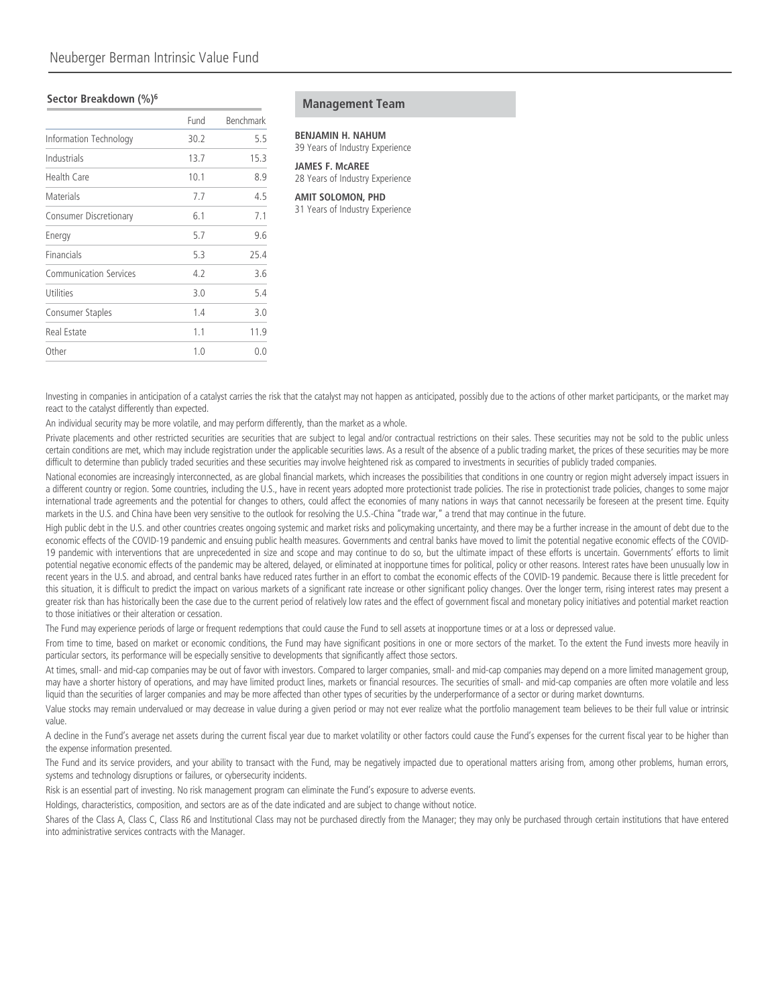### **Management Team Management Team Sector Breakdown** (%)<sup>6</sup>

|                               | Fund | <b>Benchmark</b> |
|-------------------------------|------|------------------|
| Information Technology        | 30.2 | 5.5              |
| Industrials                   | 13.7 | 15.3             |
| Health Care                   | 10.1 | 8.9              |
| Materials                     | 7.7  | 4.5              |
| Consumer Discretionary        | 6.1  | 7.1              |
| Energy                        | 5.7  | 9.6              |
| Financials                    | 5.3  | 25.4             |
| <b>Communication Services</b> | 4.2  | 3.6              |
| Utilities                     | 3.0  | 5.4              |
| Consumer Staples              | 1.4  | 3.0              |
| <b>Real Estate</b>            | 1.1  | 11.9             |
| Other                         | 1.0  | 0.0              |

### **BENJAMIN H. NAHUM**

39 Years of Industry Experience

**JAMES F. McAREE** 28 Years of Industry Experience

#### **AMIT SOLOMON, PHD**

31 Years of Industry Experience

Investing in companies in anticipation of a catalyst carries the risk that the catalyst may not happen as anticipated, possibly due to the actions of other market participants, or the market may react to the catalyst differently than expected.

An individual security may be more volatile, and may perform differently, than the market as a whole.

Private placements and other restricted securities are securities that are subject to legal and/or contractual restrictions on their sales. These securities may not be sold to the public unless certain conditions are met, which may include registration under the applicable securities laws. As a result of the absence of a public trading market, the prices of these securities may be more difficult to determine than publicly traded securities and these securities may involve heightened risk as compared to investments in securities of publicly traded companies.

National economies are increasingly interconnected, as are global financial markets, which increases the possibilities that conditions in one country or region might adversely impact issuers in a different country or region. Some countries, including the U.S., have in recent years adopted more protectionist trade policies. The rise in protectionist trade policies, changes to some major international trade agreements and the potential for changes to others, could affect the economies of many nations in ways that cannot necessarily be foreseen at the present time. Equity markets in the U.S. and China have been very sensitive to the outlook for resolving the U.S.-China "trade war," a trend that may continue in the future.

High public debt in the U.S. and other countries creates ongoing systemic and market risks and policymaking uncertainty, and there may be a further increase in the amount of debt due to the economic effects of the COVID-19 pandemic and ensuing public health measures. Governments and central banks have moved to limit the potential negative economic effects of the COVID-19 pandemic with interventions that are unprecedented in size and scope and may continue to do so, but the ultimate impact of these efforts is uncertain. Governments' efforts to limit potential negative economic effects of the pandemic may be altered, delayed, or eliminated at inopportune times for political, policy or other reasons. Interest rates have been unusually low in recent years in the U.S. and abroad, and central banks have reduced rates further in an effort to combat the economic effects of the COVID-19 pandemic. Because there is little precedent for this situation, it is difficult to predict the impact on various markets of a significant rate increase or other significant policy changes. Over the longer term, rising interest rates may present a greater risk than has historically been the case due to the current period of relatively low rates and the effect of government fiscal and monetary policy initiatives and potential market reaction to those initiatives or their alteration or cessation.

The Fund may experience periods of large or frequent redemptions that could cause the Fund to sell assets at inopportune times or at a loss or depressed value.

From time to time, based on market or economic conditions, the Fund may have significant positions in one or more sectors of the market. To the extent the Fund invests more heavily in particular sectors, its performance will be especially sensitive to developments that significantly affect those sectors.

At times, small- and mid-cap companies may be out of favor with investors. Compared to larger companies, small- and mid-cap companies may depend on a more limited management group, may have a shorter history of operations, and may have limited product lines, markets or financial resources. The securities of small- and mid-cap companies are often more volatile and less liquid than the securities of larger companies and may be more affected than other types of securities by the underperformance of a sector or during market downturns.

Value stocks may remain undervalued or may decrease in value during a given period or may not ever realize what the portfolio management team believes to be their full value or intrinsic value.

A decline in the Fund's average net assets during the current fiscal year due to market volatility or other factors could cause the Fund's expenses for the current fiscal year to be higher than the expense information presented.

The Fund and its service providers, and your ability to transact with the Fund, may be negatively impacted due to operational matters arising from, among other problems, human errors, systems and technology disruptions or failures, or cybersecurity incidents.

Risk is an essential part of investing. No risk management program can eliminate the Fund's exposure to adverse events.

Holdings, characteristics, composition, and sectors are as of the date indicated and are subject to change without notice.

Shares of the Class A, Class C, Class R6 and Institutional Class may not be purchased directly from the Manager; they may only be purchased through certain institutions that have entered into administrative services contracts with the Manager.